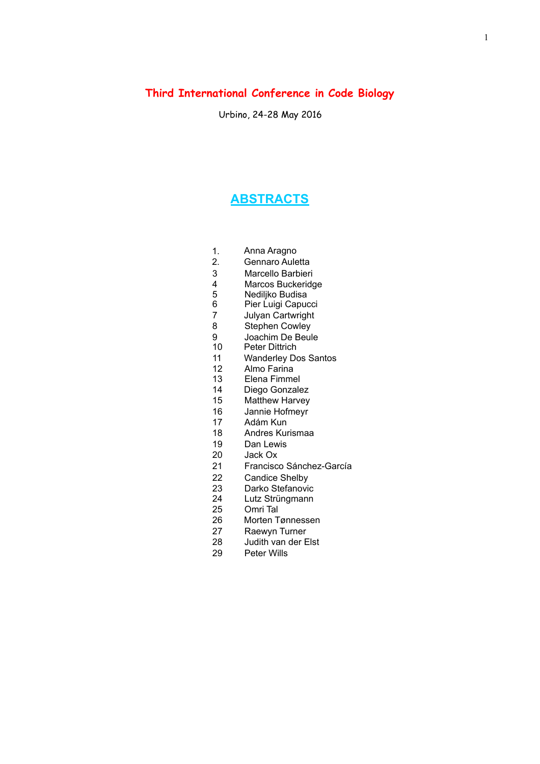## **Third International Conference in Code Biology**

Urbino, 24-28 May 2016

### **ABSTRACTS**

- 1. Anna Aragno
- 2. Gennaro Auletta
- 3 Marcello Barbieri<br>4 Marcos Buckerido
- 4 Marcos Buckeridge<br>5 Nediliko Budisa
- 5 Nediljko Budisa<br>6 Pier Luigi Capud
- 6 Pier Luigi Capucci<br>7 Julyan Cartwright
- 7 Julyan Cartwright<br>8 Stephen Cowley
- Stephen Cowley
- 9 Joachim De Beule<br>10 Peter Dittrich
- Peter Dittrich
- 11 Wanderley Dos Santos
- 12 Almo Farina
- 13 Elena Fimmel
- 14 Diego Gonzalez
- 15 Matthew Harvey
- 16 Jannie Hofmeyr
- 17 Adám Kun
- 18 Andres Kurismaa
- 19 Dan Lewis
- 20 Jack Ox
- 21 Francisco Sánchez-García
- 22 Candice Shelby
- 23 Darko Stefanovic
- 24 Lutz Strüngmann
- 25 Omri Tal
- 26 Morten Tønnessen<br>27 Raewyn Turner
- Raewyn Turner
- 28 Judith van der Elst
- 29 Peter Wills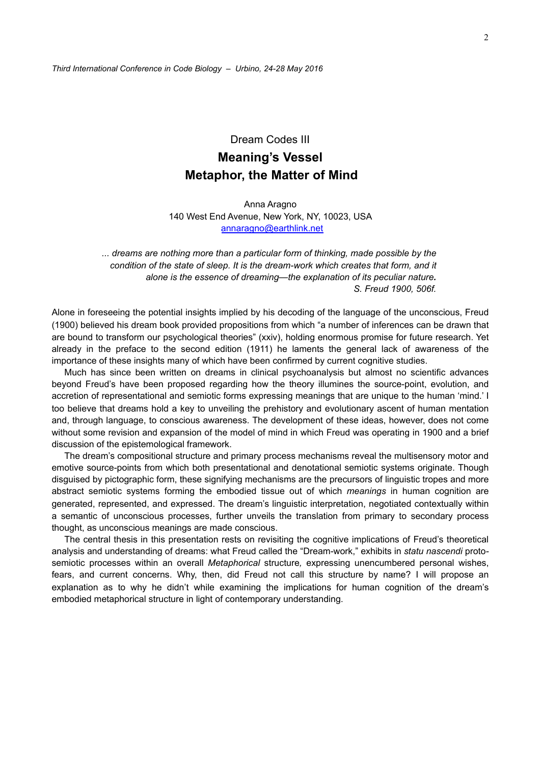# Dream Codes III **Meaning's Vessel Metaphor, the Matter of Mind**

Anna Aragno 140 West End Avenue, New York, NY, 10023, USA [annaragno@earthlink.net](mailto:annaragno@earthlink.net)

*... dreams are nothing more than a particular form of thinking, made possible by the condition of the state of sleep. It is the dream-work which creates that form, and it alone is the essence of dreaming—the explanation of its peculiar nature. S. Freud 1900, 506f.* 

Alone in foreseeing the potential insights implied by his decoding of the language of the unconscious, Freud (1900) believed his dream book provided propositions from which "a number of inferences can be drawn that are bound to transform our psychological theories" (xxiv), holding enormous promise for future research. Yet already in the preface to the second edition (1911) he laments the general lack of awareness of the importance of these insights many of which have been confirmed by current cognitive studies.

Much has since been written on dreams in clinical psychoanalysis but almost no scientific advances beyond Freud's have been proposed regarding how the theory illumines the source-point, evolution, and accretion of representational and semiotic forms expressing meanings that are unique to the human 'mind.' I too believe that dreams hold a key to unveiling the prehistory and evolutionary ascent of human mentation and, through language, to conscious awareness. The development of these ideas, however, does not come without some revision and expansion of the model of mind in which Freud was operating in 1900 and a brief discussion of the epistemological framework.

The dream's compositional structure and primary process mechanisms reveal the multisensory motor and emotive source-points from which both presentational and denotational semiotic systems originate. Though disguised by pictographic form, these signifying mechanisms are the precursors of linguistic tropes and more abstract semiotic systems forming the embodied tissue out of which *meanings* in human cognition are generated, represented, and expressed. The dream's linguistic interpretation, negotiated contextually within a semantic of unconscious processes, further unveils the translation from primary to secondary process thought, as unconscious meanings are made conscious.

The central thesis in this presentation rests on revisiting the cognitive implications of Freud's theoretical analysis and understanding of dreams: what Freud called the "Dream-work," exhibits in *statu nascendi* protosemiotic processes within an overall *Metaphorical* structure*,* expressing unencumbered personal wishes, fears, and current concerns. Why, then, did Freud not call this structure by name? I will propose an explanation as to why he didn't while examining the implications for human cognition of the dream's embodied metaphorical structure in light of contemporary understanding.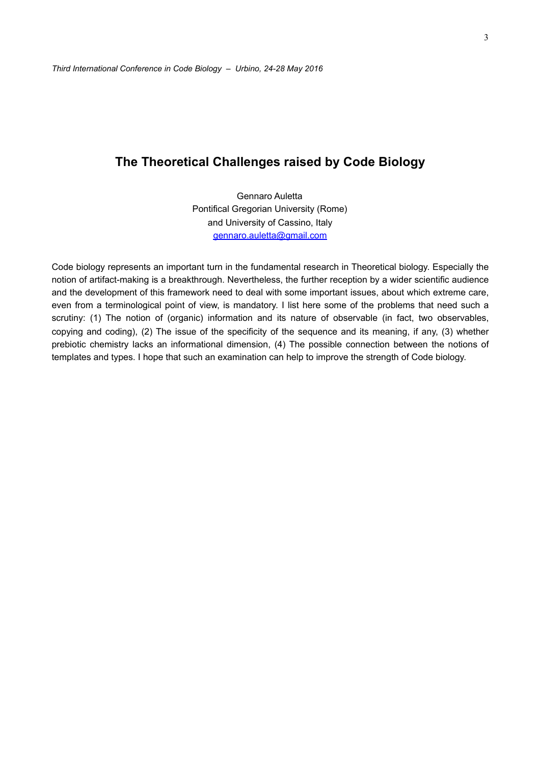## **The Theoretical Challenges raised by Code Biology**

Gennaro Auletta Pontifical Gregorian University (Rome) and University of Cassino, Italy [gennaro.auletta@gmail.com](mailto:gennaro.auletta@gmail.com)

Code biology represents an important turn in the fundamental research in Theoretical biology. Especially the notion of artifact-making is a breakthrough. Nevertheless, the further reception by a wider scientific audience and the development of this framework need to deal with some important issues, about which extreme care, even from a terminological point of view, is mandatory. I list here some of the problems that need such a scrutiny: (1) The notion of (organic) information and its nature of observable (in fact, two observables, copying and coding), (2) The issue of the specificity of the sequence and its meaning, if any, (3) whether prebiotic chemistry lacks an informational dimension, (4) The possible connection between the notions of templates and types. I hope that such an examination can help to improve the strength of Code biology.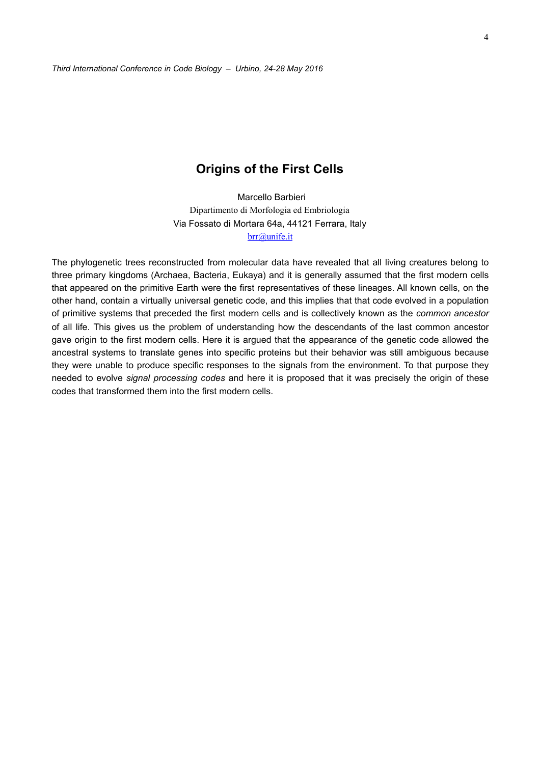### **Origins of the First Cells**

Marcello Barbieri Dipartimento di Morfologia ed Embriologia Via Fossato di Mortara 64a, 44121 Ferrara, Italy [brr@unife.it](mailto:brr@unife.it)

The phylogenetic trees reconstructed from molecular data have revealed that all living creatures belong to three primary kingdoms (Archaea, Bacteria, Eukaya) and it is generally assumed that the first modern cells that appeared on the primitive Earth were the first representatives of these lineages. All known cells, on the other hand, contain a virtually universal genetic code, and this implies that that code evolved in a population of primitive systems that preceded the first modern cells and is collectively known as the *common ancestor* of all life. This gives us the problem of understanding how the descendants of the last common ancestor gave origin to the first modern cells. Here it is argued that the appearance of the genetic code allowed the ancestral systems to translate genes into specific proteins but their behavior was still ambiguous because they were unable to produce specific responses to the signals from the environment. To that purpose they needed to evolve *signal processing codes* and here it is proposed that it was precisely the origin of these codes that transformed them into the first modern cells.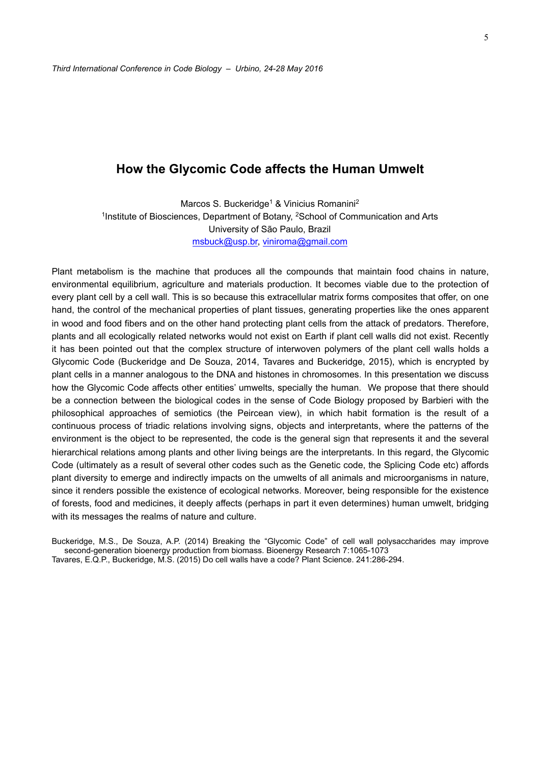### **How the Glycomic Code affects the Human Umwelt**

Marcos S. Buckeridge<sup>1</sup> & Vinicius Romanini<sup>2</sup> 1Institute of Biosciences, Department of Botany, 2School of Communication and Arts University of São Paulo, Brazil [msbuck@usp.br,](mailto:msbuck@usp.br) [viniroma@gmail.com](mailto:viniroma@gmail.com)

Plant metabolism is the machine that produces all the compounds that maintain food chains in nature, environmental equilibrium, agriculture and materials production. It becomes viable due to the protection of every plant cell by a cell wall. This is so because this extracellular matrix forms composites that offer, on one hand, the control of the mechanical properties of plant tissues, generating properties like the ones apparent in wood and food fibers and on the other hand protecting plant cells from the attack of predators. Therefore, plants and all ecologically related networks would not exist on Earth if plant cell walls did not exist. Recently it has been pointed out that the complex structure of interwoven polymers of the plant cell walls holds a Glycomic Code (Buckeridge and De Souza, 2014, Tavares and Buckeridge, 2015), which is encrypted by plant cells in a manner analogous to the DNA and histones in chromosomes. In this presentation we discuss how the Glycomic Code affects other entities' umwelts, specially the human. We propose that there should be a connection between the biological codes in the sense of Code Biology proposed by Barbieri with the philosophical approaches of semiotics (the Peircean view), in which habit formation is the result of a continuous process of triadic relations involving signs, objects and interpretants, where the patterns of the environment is the object to be represented, the code is the general sign that represents it and the several hierarchical relations among plants and other living beings are the interpretants. In this regard, the Glycomic Code (ultimately as a result of several other codes such as the Genetic code, the Splicing Code etc) affords plant diversity to emerge and indirectly impacts on the umwelts of all animals and microorganisms in nature, since it renders possible the existence of ecological networks. Moreover, being responsible for the existence of forests, food and medicines, it deeply affects (perhaps in part it even determines) human umwelt, bridging with its messages the realms of nature and culture.

Buckeridge, M.S., De Souza, A.P. (2014) Breaking the "Glycomic Code" of cell wall polysaccharides may improve second-generation bioenergy production from biomass. Bioenergy Research 7:1065-1073 Tavares, E.Q.P., Buckeridge, M.S. (2015) Do cell walls have a code? Plant Science. 241:286-294.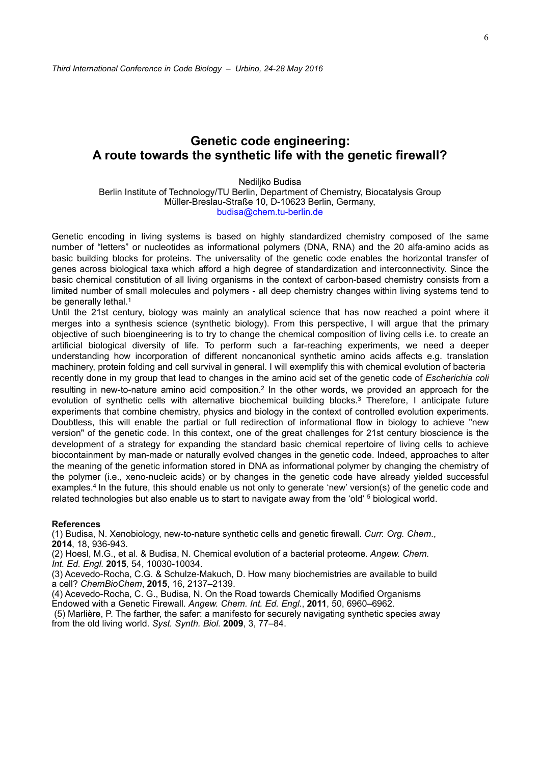## **Genetic code engineering: A route towards the synthetic life with the genetic firewall?**

Nediljko Budisa

Berlin Institute of Technology/TU Berlin, Department of Chemistry, Biocatalysis Group Müller-Breslau-Straße 10, D-10623 Berlin, Germany, budisa@chem.tu-berlin.de

Genetic encoding in living systems is based on highly standardized chemistry composed of the same number of "letters" or nucleotides as informational polymers (DNA, RNA) and the 20 alfa-amino acids as basic building blocks for proteins. The universality of the genetic code enables the horizontal transfer of genes across biological taxa which afford a high degree of standardization and interconnectivity. Since the basic chemical constitution of all living organisms in the context of carbon-based chemistry consists from a limited number of small molecules and polymers - all deep chemistry changes within living systems tend to be generally lethal.<sup>1</sup>

Until the 21st century, biology was mainly an analytical science that has now reached a point where it merges into a synthesis science (synthetic biology). From this perspective, I will argue that the primary objective of such bioengineering is to try to change the chemical composition of living cells i.e. to create an artificial biological diversity of life. To perform such a far-reaching experiments, we need a deeper understanding how incorporation of different noncanonical synthetic amino acids affects e.g. translation machinery, protein folding and cell survival in general. I will exemplify this with chemical evolution of bacteria recently done in my group that lead to changes in the amino acid set of the genetic code of *Escherichia coli*  resulting in new-to-nature amino acid composition.2 In the other words, we provided an approach for the evolution of synthetic cells with alternative biochemical building blocks.<sup>3</sup> Therefore, I anticipate future experiments that combine chemistry, physics and biology in the context of controlled evolution experiments. Doubtless, this will enable the partial or full redirection of informational flow in biology to achieve "new version" of the genetic code. In this context, one of the great challenges for 21st century bioscience is the development of a strategy for expanding the standard basic chemical repertoire of living cells to achieve biocontainment by man-made or naturally evolved changes in the genetic code. Indeed, approaches to alter the meaning of the genetic information stored in DNA as informational polymer by changing the chemistry of the polymer (i.e., xeno-nucleic acids) or by changes in the genetic code have already yielded successful examples.<sup>4</sup> In the future, this should enable us not only to generate 'new' version(s) of the genetic code and related technologies but also enable us to start to navigate away from the 'old' 5 biological world.

#### **References**

(1) Budisa, N. Xenobiology, new-to-nature synthetic cells and genetic firewall. *Curr. Org. Chem*., **2014**, 18, 936-943.

(2) Hoesl, M.G., et al. & Budisa, N. Chemical evolution of a bacterial proteome*. Angew. Chem. Int. Ed. Engl.* **2015***,* 54, 10030-10034.

(3) Acevedo-Rocha, C.G. & Schulze-Makuch, D. How many biochemistries are available to build a cell? *ChemBioChem*, **2015**, 16, 2137–2139.

(4) Acevedo-Rocha, C. G., Budisa, N. On the Road towards Chemically Modified Organisms Endowed with a Genetic Firewall. *Angew. Chem. Int. Ed. Engl*., **2011**, 50, 6960–6962.

 (5) Marlière, P. The farther, the safer: a manifesto for securely navigating synthetic species away from the old living world. *Syst. Synth. Biol.* **2009**, 3, 77–84.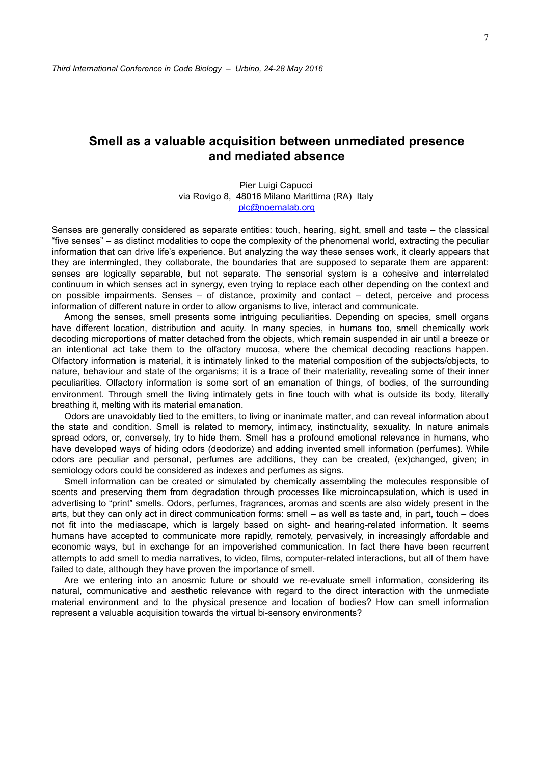## **Smell as a valuable acquisition between unmediated presence and mediated absence**

Pier Luigi Capucci via Rovigo 8, 48016 Milano Marittima (RA) Italy [plc@noemalab.org](mailto:plc@noemalab.org)

Senses are generally considered as separate entities: touch, hearing, sight, smell and taste – the classical "five senses" – as distinct modalities to cope the complexity of the phenomenal world, extracting the peculiar information that can drive life's experience. But analyzing the way these senses work, it clearly appears that they are intermingled, they collaborate, the boundaries that are supposed to separate them are apparent: senses are logically separable, but not separate. The sensorial system is a cohesive and interrelated continuum in which senses act in synergy, even trying to replace each other depending on the context and on possible impairments. Senses – of distance, proximity and contact – detect, perceive and process information of different nature in order to allow organisms to live, interact and communicate.

Among the senses, smell presents some intriguing peculiarities. Depending on species, smell organs have different location, distribution and acuity. In many species, in humans too, smell chemically work decoding microportions of matter detached from the objects, which remain suspended in air until a breeze or an intentional act take them to the olfactory mucosa, where the chemical decoding reactions happen. Olfactory information is material, it is intimately linked to the material composition of the subjects/objects, to nature, behaviour and state of the organisms; it is a trace of their materiality, revealing some of their inner peculiarities. Olfactory information is some sort of an emanation of things, of bodies, of the surrounding environment. Through smell the living intimately gets in fine touch with what is outside its body, literally breathing it, melting with its material emanation.

Odors are unavoidably tied to the emitters, to living or inanimate matter, and can reveal information about the state and condition. Smell is related to memory, intimacy, instinctuality, sexuality. In nature animals spread odors, or, conversely, try to hide them. Smell has a profound emotional relevance in humans, who have developed ways of hiding odors (deodorize) and adding invented smell information (perfumes). While odors are peculiar and personal, perfumes are additions, they can be created, (ex)changed, given; in semiology odors could be considered as indexes and perfumes as signs.

Smell information can be created or simulated by chemically assembling the molecules responsible of scents and preserving them from degradation through processes like microincapsulation, which is used in advertising to "print" smells. Odors, perfumes, fragrances, aromas and scents are also widely present in the arts, but they can only act in direct communication forms: smell – as well as taste and, in part, touch – does not fit into the mediascape, which is largely based on sight- and hearing-related information. It seems humans have accepted to communicate more rapidly, remotely, pervasively, in increasingly affordable and economic ways, but in exchange for an impoverished communication. In fact there have been recurrent attempts to add smell to media narratives, to video, films, computer-related interactions, but all of them have failed to date, although they have proven the importance of smell.

Are we entering into an anosmic future or should we re-evaluate smell information, considering its natural, communicative and aesthetic relevance with regard to the direct interaction with the unmediate material environment and to the physical presence and location of bodies? How can smell information represent a valuable acquisition towards the virtual bi-sensory environments?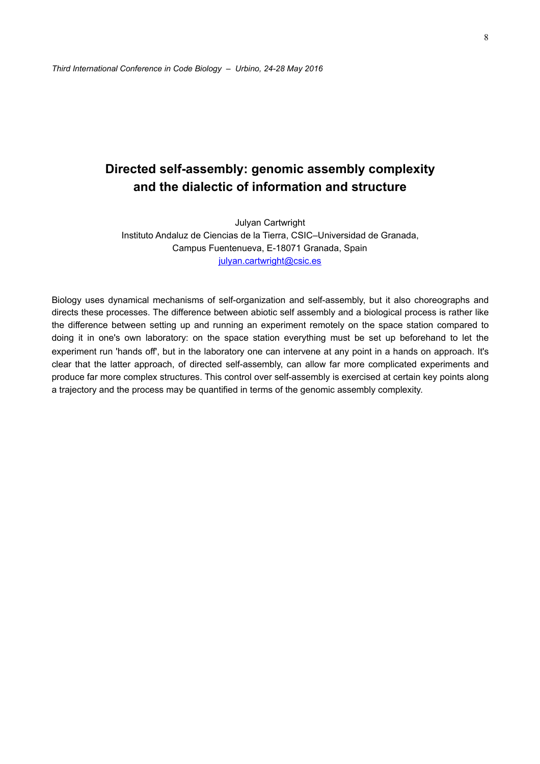# **Directed self-assembly: genomic assembly complexity and the dialectic of information and structure**

Julyan Cartwright Instituto Andaluz de Ciencias de la Tierra, CSIC–Universidad de Granada, Campus Fuentenueva, E-18071 Granada, Spain [julyan.cartwright@csic.es](mailto:julyan.cartwright@csic.es) 

Biology uses dynamical mechanisms of self-organization and self-assembly, but it also choreographs and directs these processes. The difference between abiotic self assembly and a biological process is rather like the difference between setting up and running an experiment remotely on the space station compared to doing it in one's own laboratory: on the space station everything must be set up beforehand to let the experiment run 'hands off', but in the laboratory one can intervene at any point in a hands on approach. It's clear that the latter approach, of directed self-assembly, can allow far more complicated experiments and produce far more complex structures. This control over self-assembly is exercised at certain key points along a trajectory and the process may be quantified in terms of the genomic assembly complexity.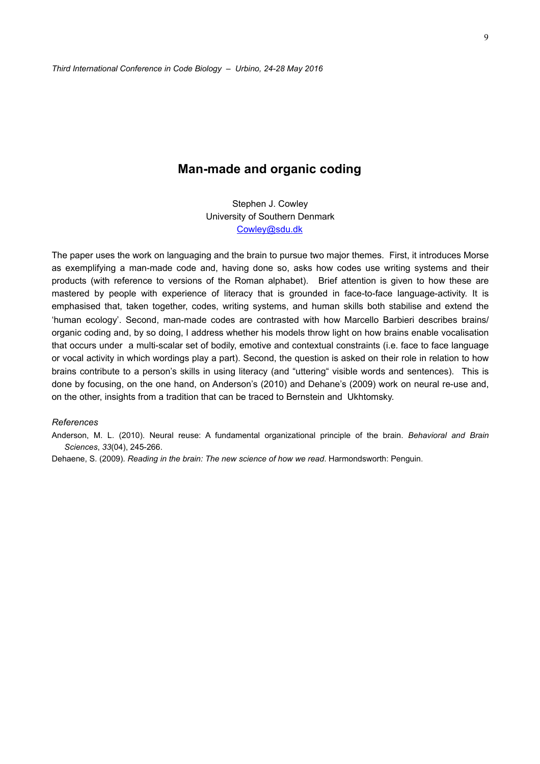### **Man-made and organic coding**

Stephen J. Cowley University of Southern Denmark [Cowley@sdu.dk](mailto:Cowley@sdu.dk)

The paper uses the work on languaging and the brain to pursue two major themes. First, it introduces Morse as exemplifying a man-made code and, having done so, asks how codes use writing systems and their products (with reference to versions of the Roman alphabet). Brief attention is given to how these are mastered by people with experience of literacy that is grounded in face-to-face language-activity. It is emphasised that, taken together, codes, writing systems, and human skills both stabilise and extend the 'human ecology'. Second, man-made codes are contrasted with how Marcello Barbieri describes brains/ organic coding and, by so doing, I address whether his models throw light on how brains enable vocalisation that occurs under a multi-scalar set of bodily, emotive and contextual constraints (i.e. face to face language or vocal activity in which wordings play a part). Second, the question is asked on their role in relation to how brains contribute to a person's skills in using literacy (and "uttering" visible words and sentences). This is done by focusing, on the one hand, on Anderson's (2010) and Dehane's (2009) work on neural re-use and, on the other, insights from a tradition that can be traced to Bernstein and Ukhtomsky.

#### *References*

Anderson, M. L. (2010). Neural reuse: A fundamental organizational principle of the brain. *Behavioral and Brain Sciences*, *33*(04), 245-266.

Dehaene, S. (2009). *Reading in the brain: The new science of how we read*. Harmondsworth: Penguin.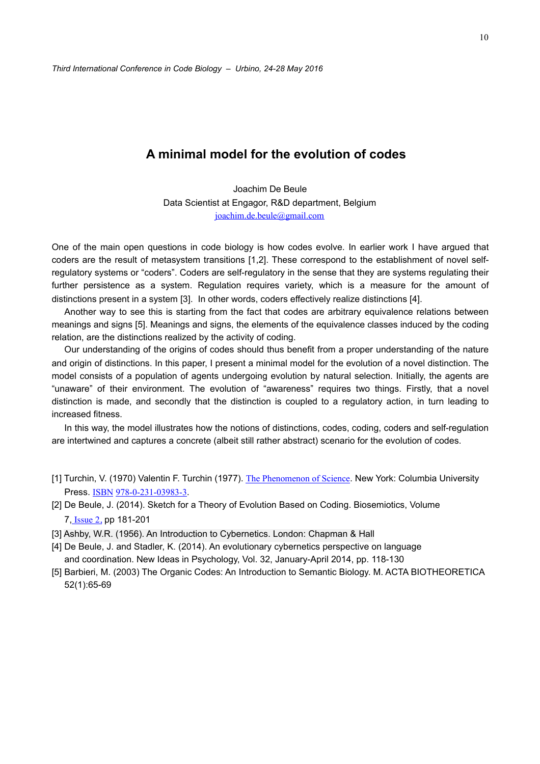## **A minimal model for the evolution of codes**

Joachim De Beule Data Scientist at Engagor, R&D department, Belgium [joachim.de.beule@gmail.com](mailto:joachim.de.beule@gmail.com)

One of the main open questions in code biology is how codes evolve. In earlier work I have argued that coders are the result of metasystem transitions [1,2]. These correspond to the establishment of novel selfregulatory systems or "coders". Coders are self-regulatory in the sense that they are systems regulating their further persistence as a system. Regulation requires variety, which is a measure for the amount of distinctions present in a system [3]. In other words, coders effectively realize distinctions [4].

Another way to see this is starting from the fact that codes are arbitrary equivalence relations between meanings and signs [5]. Meanings and signs, the elements of the equivalence classes induced by the coding relation, are the distinctions realized by the activity of coding.

Our understanding of the origins of codes should thus benefit from a proper understanding of the nature and origin of distinctions. In this paper, I present a minimal model for the evolution of a novel distinction. The model consists of a population of agents undergoing evolution by natural selection. Initially, the agents are "unaware" of their environment. The evolution of "awareness" requires two things. Firstly, that a novel distinction is made, and secondly that the distinction is coupled to a regulatory action, in turn leading to increased fitness.

In this way, the model illustrates how the notions of distinctions, codes, coding, coders and self-regulation are intertwined and captures a concrete (albeit still rather abstract) scenario for the evolution of codes.

- [1] Turchin, V. (1970) Valentin F. Turchin (1977). [The Phenomenon of Science](http://pcp.vub.ac.be/POSBOOK.html). New York: Columbia University Press. [ISBN](https://en.wikipedia.org/wiki/International_Standard_Book_Number) [978-0-231-03983-3](https://en.wikipedia.org/wiki/Special:BookSources/978-0-231-03983-3).
- [2] De Beule, J. (2014). Sketch for a Theory of Evolution Based on Coding. [Biosemiotics,](http://link.springer.com/journal/12304) Volume 7, [Issue](http://link.springer.com/journal/12304/7/2/page/1) 2, pp 181-201
- [3] Ashby, W.R. (1956). An Introduction to Cybernetics. London: Chapman & Hall
- [4] De Beule, J. and Stadler, K. (2014). An evolutionary cybernetics perspective on language and coordination. New Ideas in Psychology, Vol. 32, January-April 2014, pp. 118-130
- [5] Barbieri, M. (2003) The Organic Codes: An Introduction to Semantic Biology. M. ACTA BIOTHEORETICA 52(1):65-69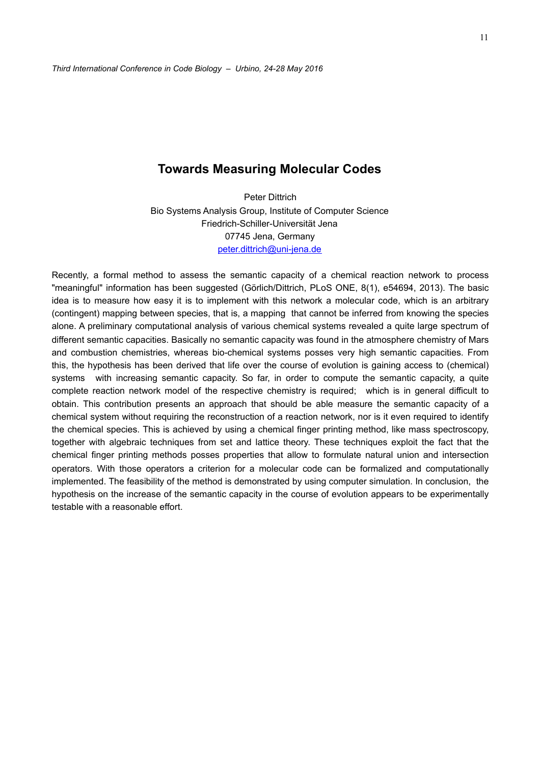### **Towards Measuring Molecular Codes**

Peter Dittrich Bio Systems Analysis Group, Institute of Computer Science Friedrich-Schiller-Universität Jena 07745 Jena, Germany [peter.dittrich@uni-jena.de](mailto:peter.dittrich@uni-jena.de)

Recently, a formal method to assess the semantic capacity of a chemical reaction network to process "meaningful" information has been suggested (Görlich/Dittrich, PLoS ONE, 8(1), e54694, 2013). The basic idea is to measure how easy it is to implement with this network a molecular code, which is an arbitrary (contingent) mapping between species, that is, a mapping that cannot be inferred from knowing the species alone. A preliminary computational analysis of various chemical systems revealed a quite large spectrum of different semantic capacities. Basically no semantic capacity was found in the atmosphere chemistry of Mars and combustion chemistries, whereas bio-chemical systems posses very high semantic capacities. From this, the hypothesis has been derived that life over the course of evolution is gaining access to (chemical) systems with increasing semantic capacity. So far, in order to compute the semantic capacity, a quite complete reaction network model of the respective chemistry is required; which is in general difficult to obtain. This contribution presents an approach that should be able measure the semantic capacity of a chemical system without requiring the reconstruction of a reaction network, nor is it even required to identify the chemical species. This is achieved by using a chemical finger printing method, like mass spectroscopy, together with algebraic techniques from set and lattice theory. These techniques exploit the fact that the chemical finger printing methods posses properties that allow to formulate natural union and intersection operators. With those operators a criterion for a molecular code can be formalized and computationally implemented. The feasibility of the method is demonstrated by using computer simulation. In conclusion, the hypothesis on the increase of the semantic capacity in the course of evolution appears to be experimentally testable with a reasonable effort.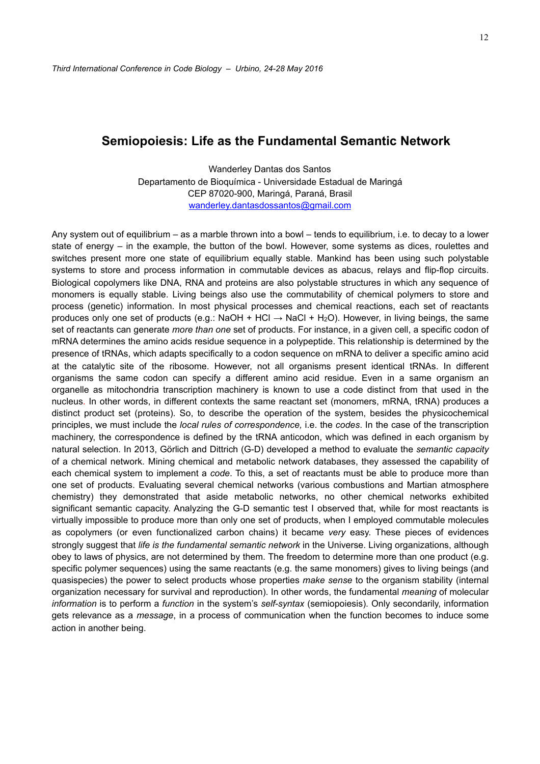### **Semiopoiesis: Life as the Fundamental Semantic Network**

Wanderley Dantas dos Santos Departamento de Bioquímica - Universidade Estadual de Maringá CEP 87020-900, Maringá, Paraná, Brasil [wanderley.dantasdossantos@gmail.com](mailto:wanderley.dantasdossantos@gmail.com)

Any system out of equilibrium – as a marble thrown into a bowl – tends to equilibrium, i.e. to decay to a lower state of energy – in the example, the button of the bowl. However, some systems as dices, roulettes and switches present more one state of equilibrium equally stable. Mankind has been using such polystable systems to store and process information in commutable devices as abacus, relays and flip-flop circuits. Biological copolymers like DNA, RNA and proteins are also polystable structures in which any sequence of monomers is equally stable. Living beings also use the commutability of chemical polymers to store and process (genetic) information. In most physical processes and chemical reactions, each set of reactants produces only one set of products (e.g.: NaOH + HCl  $\rightarrow$  NaCl + H<sub>2</sub>O). However, in living beings, the same set of reactants can generate *more than one* set of products. For instance, in a given cell, a specific codon of mRNA determines the amino acids residue sequence in a polypeptide. This relationship is determined by the presence of tRNAs, which adapts specifically to a codon sequence on mRNA to deliver a specific amino acid at the catalytic site of the ribosome. However, not all organisms present identical tRNAs. In different organisms the same codon can specify a different amino acid residue. Even in a same organism an organelle as mitochondria transcription machinery is known to use a code distinct from that used in the nucleus. In other words, in different contexts the same reactant set (monomers, mRNA, tRNA) produces a distinct product set (proteins). So, to describe the operation of the system, besides the physicochemical principles, we must include the *local rules of correspondence,* i.e. the *codes*. In the case of the transcription machinery, the correspondence is defined by the tRNA anticodon, which was defined in each organism by natural selection. In 2013, Görlich and Dittrich (G-D) developed a method to evaluate the *semantic capacity* of a chemical network. Mining chemical and metabolic network databases, they assessed the capability of each chemical system to implement a *code*. To this, a set of reactants must be able to produce more than one set of products. Evaluating several chemical networks (various combustions and Martian atmosphere chemistry) they demonstrated that aside metabolic networks, no other chemical networks exhibited significant semantic capacity. Analyzing the G-D semantic test I observed that, while for most reactants is virtually impossible to produce more than only one set of products, when I employed commutable molecules as copolymers (or even functionalized carbon chains) it became *very* easy. These pieces of evidences strongly suggest that *life is the fundamental semantic network* in the Universe. Living organizations, although obey to laws of physics, are not determined by them. The freedom to determine more than one product (e.g. specific polymer sequences) using the same reactants (e.g. the same monomers) gives to living beings (and quasispecies) the power to select products whose properties *make sense* to the organism stability (internal organization necessary for survival and reproduction). In other words, the fundamental *meaning* of molecular *information* is to perform a *function* in the system's *self-syntax* (semiopoiesis). Only secondarily, information gets relevance as a *message*, in a process of communication when the function becomes to induce some action in another being.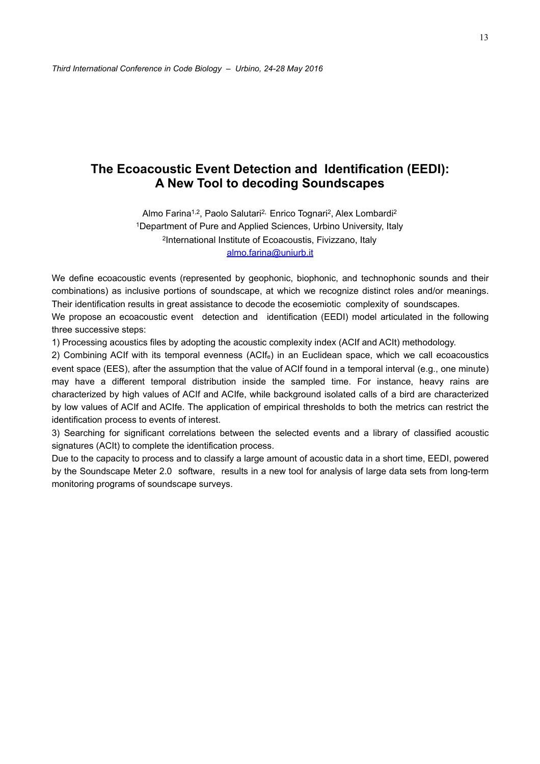## **The Ecoacoustic Event Detection and Identification (EEDI): A New Tool to decoding Soundscapes**

Almo Farina<sup>1,2</sup>, Paolo Salutari<sup>2,</sup> Enrico Tognari<sup>2</sup>, Alex Lombardi<sup>2</sup> 1Department of Pure and Applied Sciences, Urbino University, Italy 2International Institute of Ecoacoustis, Fivizzano, Italy [almo.farina@uniurb.it](mailto:almo.farina@uniurb.it)

We define ecoacoustic events (represented by geophonic, biophonic, and technophonic sounds and their combinations) as inclusive portions of soundscape, at which we recognize distinct roles and/or meanings. Their identification results in great assistance to decode the ecosemiotic complexity of soundscapes.

We propose an ecoacoustic event detection and identification (EEDI) model articulated in the following three successive steps:

1) Processing acoustics files by adopting the acoustic complexity index (ACIf and ACIt) methodology.

2) Combining ACIf with its temporal evenness (ACIfe) in an Euclidean space, which we call ecoacoustics event space (EES), after the assumption that the value of ACIf found in a temporal interval (e.g., one minute) may have a different temporal distribution inside the sampled time. For instance, heavy rains are characterized by high values of ACIf and ACIfe, while background isolated calls of a bird are characterized by low values of ACIf and ACIfe. The application of empirical thresholds to both the metrics can restrict the identification process to events of interest.

3) Searching for significant correlations between the selected events and a library of classified acoustic signatures (ACIt) to complete the identification process.

Due to the capacity to process and to classify a large amount of acoustic data in a short time, EEDI, powered by the Soundscape Meter 2.0 software, results in a new tool for analysis of large data sets from long-term monitoring programs of soundscape surveys.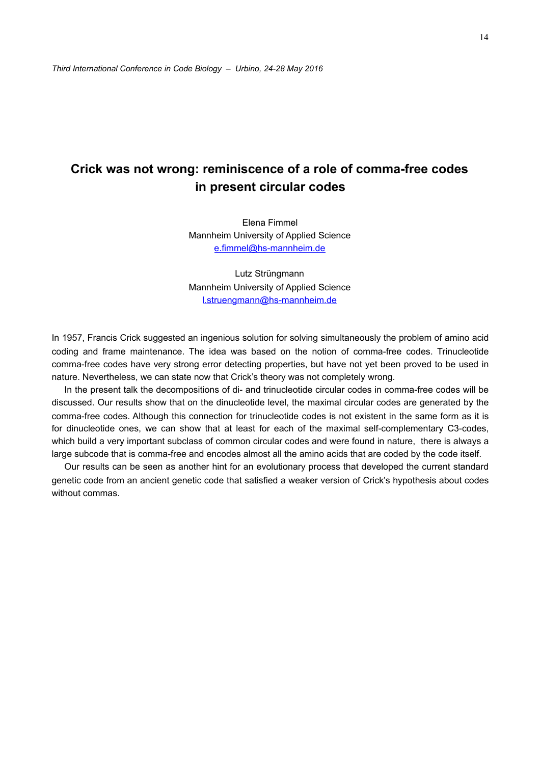# **Crick was not wrong: reminiscence of a role of comma-free codes in present circular codes**

Elena Fimmel Mannheim University of Applied Science [e.fimmel@hs-mannheim.de](mailto:e.fimmel@hs-mannheim.de) 

Lutz Strüngmann Mannheim University of Applied Science [l.struengmann@hs-mannheim.de](mailto:l.struengmann@hs-mannheim.de) 

In 1957, Francis Crick suggested an ingenious solution for solving simultaneously the problem of amino acid coding and frame maintenance. The idea was based on the notion of comma-free codes. Trinucleotide comma-free codes have very strong error detecting properties, but have not yet been proved to be used in nature. Nevertheless, we can state now that Crick's theory was not completely wrong.

In the present talk the decompositions of di- and trinucleotide circular codes in comma-free codes will be discussed. Our results show that on the dinucleotide level, the maximal circular codes are generated by the comma-free codes. Although this connection for trinucleotide codes is not existent in the same form as it is for dinucleotide ones, we can show that at least for each of the maximal self-complementary C3-codes, which build a very important subclass of common circular codes and were found in nature, there is always a large subcode that is comma-free and encodes almost all the amino acids that are coded by the code itself.

Our results can be seen as another hint for an evolutionary process that developed the current standard genetic code from an ancient genetic code that satisfied a weaker version of Crick's hypothesis about codes without commas.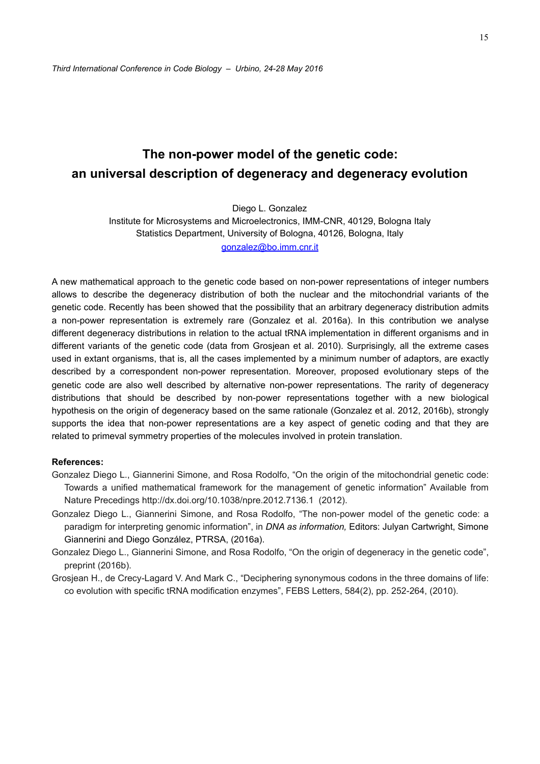# **The non-power model of the genetic code: an universal description of degeneracy and degeneracy evolution**

Diego L. Gonzalez Institute for Microsystems and Microelectronics, IMM-CNR, 40129, Bologna Italy Statistics Department, University of Bologna, 40126, Bologna, Italy [gonzalez@bo.imm.cnr.it](mailto:gonzalez@bo.imm.cnr.it)

A new mathematical approach to the genetic code based on non-power representations of integer numbers allows to describe the degeneracy distribution of both the nuclear and the mitochondrial variants of the genetic code. Recently has been showed that the possibility that an arbitrary degeneracy distribution admits a non-power representation is extremely rare (Gonzalez et al. 2016a). In this contribution we analyse different degeneracy distributions in relation to the actual tRNA implementation in different organisms and in different variants of the genetic code (data from Grosjean et al. 2010). Surprisingly, all the extreme cases used in extant organisms, that is, all the cases implemented by a minimum number of adaptors, are exactly described by a correspondent non-power representation. Moreover, proposed evolutionary steps of the genetic code are also well described by alternative non-power representations. The rarity of degeneracy distributions that should be described by non-power representations together with a new biological hypothesis on the origin of degeneracy based on the same rationale (Gonzalez et al. 2012, 2016b), strongly supports the idea that non-power representations are a key aspect of genetic coding and that they are related to primeval symmetry properties of the molecules involved in protein translation.

#### **References:**

- Gonzalez Diego L., Giannerini Simone, and Rosa Rodolfo, "On the origin of the mitochondrial genetic code: Towards a unified mathematical framework for the management of genetic information" Available from Nature Precedings http://dx.doi.org/10.1038/npre.2012.7136.1 (2012).
- Gonzalez Diego L., Giannerini Simone, and Rosa Rodolfo, "The non-power model of the genetic code: a paradigm for interpreting genomic information", in *DNA as information,* Editors: Julyan Cartwright, Simone Giannerini and Diego González, PTRSA, (2016a).
- Gonzalez Diego L., Giannerini Simone, and Rosa Rodolfo, "On the origin of degeneracy in the genetic code", preprint (2016b).
- Grosjean H., de Crecy-Lagard V. And Mark C., "Deciphering synonymous codons in the three domains of life: co evolution with specific tRNA modification enzymes", FEBS Letters, 584(2), pp. 252-264, (2010).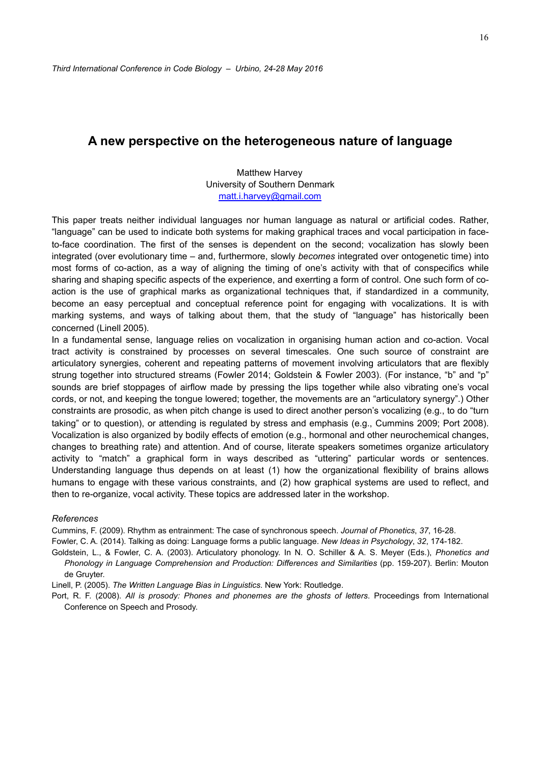### **A new perspective on the heterogeneous nature of language**

Matthew Harvey University of Southern Denmark [matt.i.harvey@gmail.com](mailto:matt.i.harvey@gmail.com) 

This paper treats neither individual languages nor human language as natural or artificial codes. Rather, "language" can be used to indicate both systems for making graphical traces and vocal participation in faceto-face coordination. The first of the senses is dependent on the second; vocalization has slowly been integrated (over evolutionary time – and, furthermore, slowly *becomes* integrated over ontogenetic time) into most forms of co-action, as a way of aligning the timing of one's activity with that of conspecifics while sharing and shaping specific aspects of the experience, and exerrting a form of control. One such form of coaction is the use of graphical marks as organizational techniques that, if standardized in a community, become an easy perceptual and conceptual reference point for engaging with vocalizations. It is with marking systems, and ways of talking about them, that the study of "language" has historically been concerned (Linell 2005).

In a fundamental sense, language relies on vocalization in organising human action and co-action. Vocal tract activity is constrained by processes on several timescales. One such source of constraint are articulatory synergies, coherent and repeating patterns of movement involving articulators that are flexibly strung together into structured streams (Fowler 2014; Goldstein & Fowler 2003). (For instance, "b" and "p" sounds are brief stoppages of airflow made by pressing the lips together while also vibrating one's vocal cords, or not, and keeping the tongue lowered; together, the movements are an "articulatory synergy".) Other constraints are prosodic, as when pitch change is used to direct another person's vocalizing (e.g., to do "turn taking" or to question), or attending is regulated by stress and emphasis (e.g., Cummins 2009; Port 2008). Vocalization is also organized by bodily effects of emotion (e.g., hormonal and other neurochemical changes, changes to breathing rate) and attention. And of course, literate speakers sometimes organize articulatory activity to "match" a graphical form in ways described as "uttering" particular words or sentences. Understanding language thus depends on at least (1) how the organizational flexibility of brains allows humans to engage with these various constraints, and (2) how graphical systems are used to reflect, and then to re-organize, vocal activity. These topics are addressed later in the workshop.

#### *References*

Cummins, F. (2009). Rhythm as entrainment: The case of synchronous speech. *Journal of Phonetics*, *37*, 16-28.

Fowler, C. A. (2014). Talking as doing: Language forms a public language. *New Ideas in Psychology*, *32*, 174-182.

Goldstein, L., & Fowler, C. A. (2003). Articulatory phonology. In N. O. Schiller & A. S. Meyer (Eds.), *Phonetics and Phonology in Language Comprehension and Production: Differences and Similarities* (pp. 159-207). Berlin: Mouton de Gruyter.

Linell, P. (2005). *The Written Language Bias in Linguistics*. New York: Routledge.

Port, R. F. (2008). *All is prosody: Phones and phonemes are the ghosts of letters*. Proceedings from International Conference on Speech and Prosody.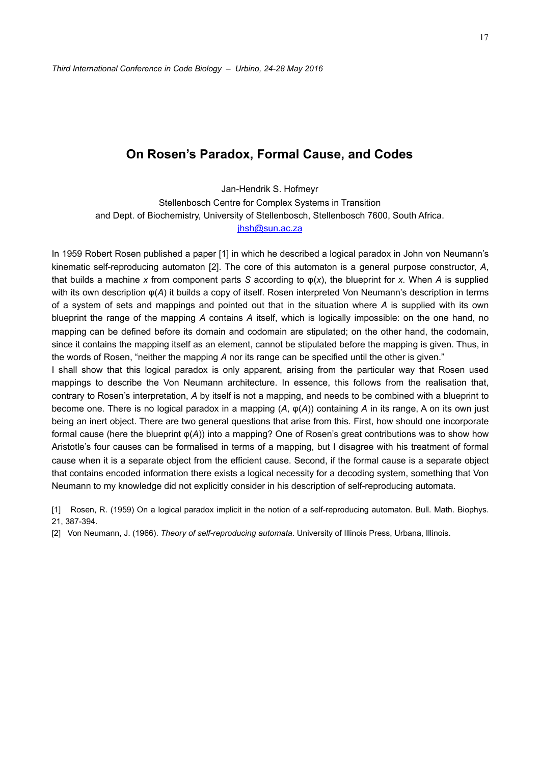### **On Rosen's Paradox, Formal Cause, and Codes**

Jan-Hendrik S. Hofmeyr Stellenbosch Centre for Complex Systems in Transition and Dept. of Biochemistry, University of Stellenbosch, Stellenbosch 7600, South Africa. [jhsh@sun.ac.za](mailto:jhsh@sun.ac.za)

In 1959 Robert Rosen published a paper [1] in which he described a logical paradox in John von Neumann's kinematic self-reproducing automaton [2]. The core of this automaton is a general purpose constructor, *A*, that builds a machine x from component parts *S* according to  $\varphi(x)$ , the blueprint for x. When *A* is supplied with its own description φ(*A*) it builds a copy of itself. Rosen interpreted Von Neumann's description in terms of a system of sets and mappings and pointed out that in the situation where *A* is supplied with its own blueprint the range of the mapping *A* contains *A* itself, which is logically impossible: on the one hand, no mapping can be defined before its domain and codomain are stipulated; on the other hand, the codomain, since it contains the mapping itself as an element, cannot be stipulated before the mapping is given. Thus, in the words of Rosen, "neither the mapping *A* nor its range can be specified until the other is given."

I shall show that this logical paradox is only apparent, arising from the particular way that Rosen used mappings to describe the Von Neumann architecture. In essence, this follows from the realisation that, contrary to Rosen's interpretation, *A* by itself is not a mapping, and needs to be combined with a blueprint to become one. There is no logical paradox in a mapping (*A*, φ(*A*)) containing *A* in its range, A on its own just being an inert object. There are two general questions that arise from this. First, how should one incorporate formal cause (here the blueprint φ(*A*)) into a mapping? One of Rosen's great contributions was to show how Aristotle's four causes can be formalised in terms of a mapping, but I disagree with his treatment of formal cause when it is a separate object from the efficient cause. Second, if the formal cause is a separate object that contains encoded information there exists a logical necessity for a decoding system, something that Von Neumann to my knowledge did not explicitly consider in his description of self-reproducing automata.

[1] Rosen, R. (1959) On a logical paradox implicit in the notion of a self-reproducing automaton. Bull. Math. Biophys. 21, 387-394.

[2] Von Neumann, J. (1966). *Theory of self-reproducing automata*. University of Illinois Press, Urbana, Illinois.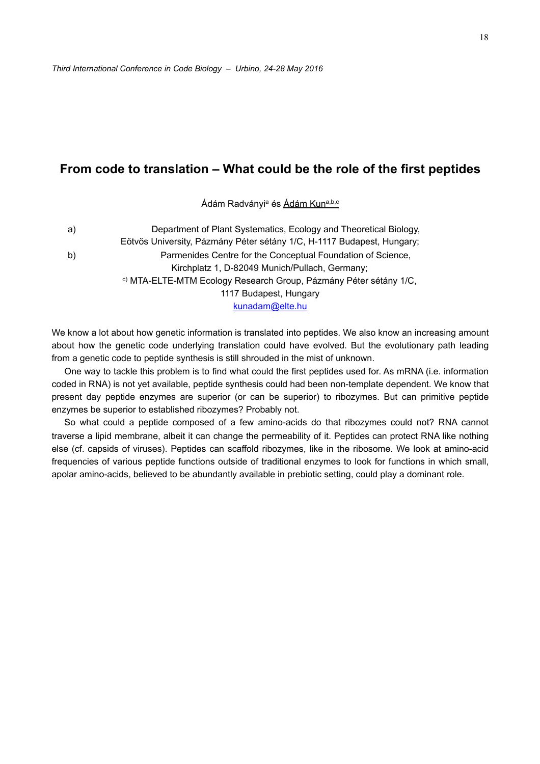### **From code to translation – What could be the role of the first peptides**

Ádám Radványi<sup>a</sup> és Ádám Kuna,b,c

a) Department of Plant Systematics, Ecology and Theoretical Biology, Eötvös University, Pázmány Péter sétány 1/C, H-1117 Budapest, Hungary; b) Parmenides Centre for the Conceptual Foundation of Science, Kirchplatz 1, D-82049 Munich/Pullach, Germany; c) MTA-ELTE-MTM Ecology Research Group, Pázmány Péter sétány 1/C, 1117 Budapest, Hungary [kunadam@elte.hu](mailto:kunadam@elte.hu)

We know a lot about how genetic information is translated into peptides. We also know an increasing amount about how the genetic code underlying translation could have evolved. But the evolutionary path leading from a genetic code to peptide synthesis is still shrouded in the mist of unknown.

One way to tackle this problem is to find what could the first peptides used for. As mRNA (i.e. information coded in RNA) is not yet available, peptide synthesis could had been non-template dependent. We know that present day peptide enzymes are superior (or can be superior) to ribozymes. But can primitive peptide enzymes be superior to established ribozymes? Probably not.

So what could a peptide composed of a few amino-acids do that ribozymes could not? RNA cannot traverse a lipid membrane, albeit it can change the permeability of it. Peptides can protect RNA like nothing else (cf. capsids of viruses). Peptides can scaffold ribozymes, like in the ribosome. We look at amino-acid frequencies of various peptide functions outside of traditional enzymes to look for functions in which small, apolar amino-acids, believed to be abundantly available in prebiotic setting, could play a dominant role.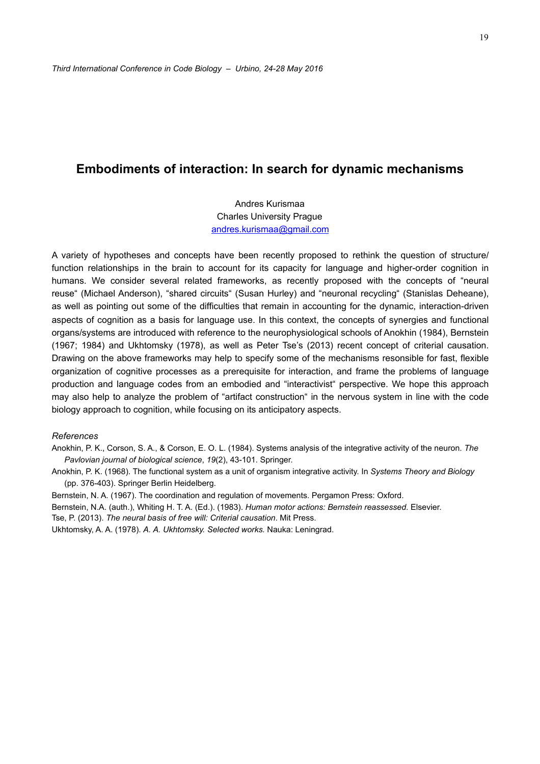### **Embodiments of interaction: In search for dynamic mechanisms**

Andres Kurismaa Charles University Prague [andres.kurismaa@gmail.com](mailto:andres.kurismaa@gmail.com)

A variety of hypotheses and concepts have been recently proposed to rethink the question of structure/ function relationships in the brain to account for its capacity for language and higher-order cognition in humans. We consider several related frameworks, as recently proposed with the concepts of "neural reuse" (Michael Anderson), "shared circuits" (Susan Hurley) and "neuronal recycling" (Stanislas Deheane), as well as pointing out some of the difficulties that remain in accounting for the dynamic, interaction-driven aspects of cognition as a basis for language use. In this context, the concepts of synergies and functional organs/systems are introduced with reference to the neurophysiological schools of Anokhin (1984), Bernstein (1967; 1984) and Ukhtomsky (1978), as well as Peter Tse's (2013) recent concept of criterial causation. Drawing on the above frameworks may help to specify some of the mechanisms resonsible for fast, flexible organization of cognitive processes as a prerequisite for interaction, and frame the problems of language production and language codes from an embodied and "interactivist" perspective. We hope this approach may also help to analyze the problem of "artifact construction" in the nervous system in line with the code biology approach to cognition, while focusing on its anticipatory aspects.

#### *References*

Anokhin, P. K., Corson, S. A., & Corson, E. O. L. (1984). Systems analysis of the integrative activity of the neuron. *The Pavlovian journal of biological science*, *19*(2), 43-101. Springer.

Anokhin, P. K. (1968). The functional system as a unit of organism integrative activity. In *Systems Theory and Biology* (pp. 376-403). Springer Berlin Heidelberg.

Bernstein, N. A. (1967). The coordination and regulation of movements. Pergamon Press: Oxford.

Bernstein, N.A. (auth.), Whiting H. T. A. (Ed.). (1983). *Human motor actions: Bernstein reassessed*. Elsevier.

Tse, P. (2013). *The neural basis of free will: Criterial causation*. Mit Press.

Ukhtomsky, A. A. (1978). *A. A. Ukhtomsky. Selected works.* Nauka: Leningrad.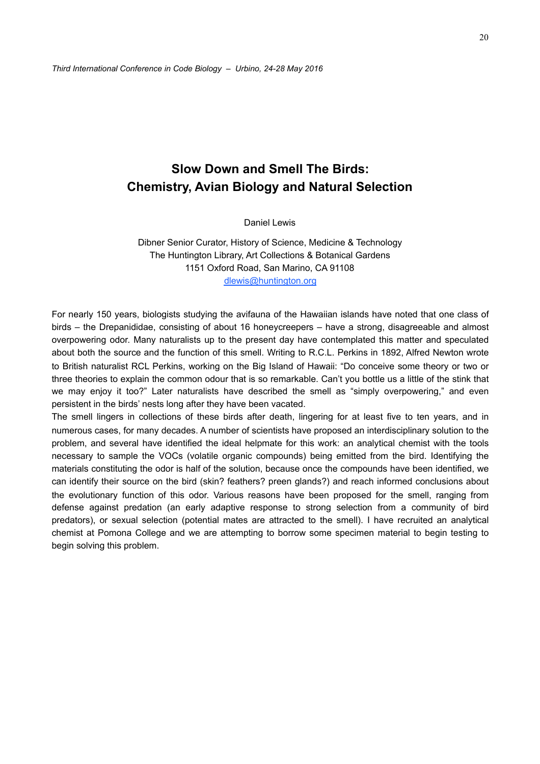# **Slow Down and Smell The Birds: Chemistry, Avian Biology and Natural Selection**

Daniel Lewis

Dibner Senior Curator, History of Science, Medicine & Technology The Huntington Library, Art Collections & Botanical Gardens 1151 Oxford Road, San Marino, CA 91108 [dlewis@huntington.org](mailto:dlewis@huntington.org)

For nearly 150 years, biologists studying the avifauna of the Hawaiian islands have noted that one class of birds – the Drepanididae, consisting of about 16 honeycreepers – have a strong, disagreeable and almost overpowering odor. Many naturalists up to the present day have contemplated this matter and speculated about both the source and the function of this smell. Writing to R.C.L. Perkins in 1892, Alfred Newton wrote to British naturalist RCL Perkins, working on the Big Island of Hawaii: "Do conceive some theory or two or three theories to explain the common odour that is so remarkable. Can't you bottle us a little of the stink that we may enjoy it too?" Later naturalists have described the smell as "simply overpowering," and even persistent in the birds' nests long after they have been vacated.

The smell lingers in collections of these birds after death, lingering for at least five to ten years, and in numerous cases, for many decades. A number of scientists have proposed an interdisciplinary solution to the problem, and several have identified the ideal helpmate for this work: an analytical chemist with the tools necessary to sample the VOCs (volatile organic compounds) being emitted from the bird. Identifying the materials constituting the odor is half of the solution, because once the compounds have been identified, we can identify their source on the bird (skin? feathers? preen glands?) and reach informed conclusions about the evolutionary function of this odor. Various reasons have been proposed for the smell, ranging from defense against predation (an early adaptive response to strong selection from a community of bird predators), or sexual selection (potential mates are attracted to the smell). I have recruited an analytical chemist at Pomona College and we are attempting to borrow some specimen material to begin testing to begin solving this problem.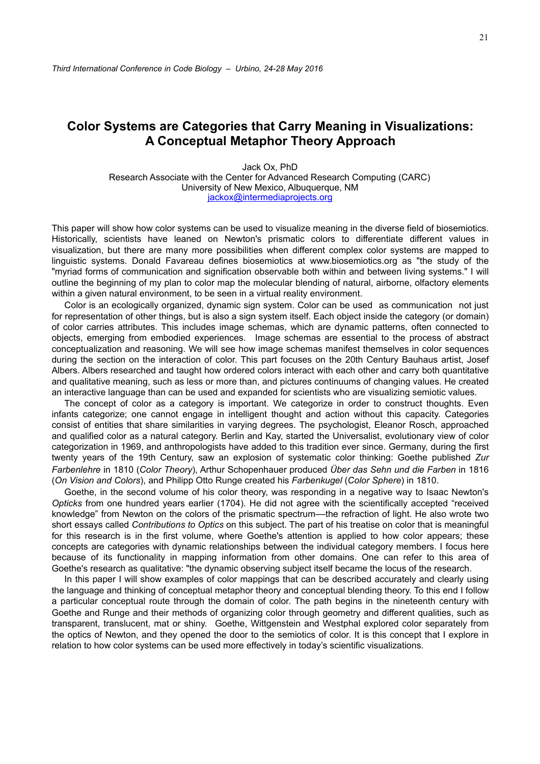## **Color Systems are Categories that Carry Meaning in Visualizations: A Conceptual Metaphor Theory Approach**

Jack Ox, PhD Research Associate with the Center for Advanced Research Computing (CARC) University of New Mexico, Albuquerque, NM [jackox@intermediaprojects.org](mailto:jackox@intermediaprojects.org)

This paper will show how color systems can be used to visualize meaning in the diverse field of biosemiotics. Historically, scientists have leaned on Newton's prismatic colors to differentiate different values in visualization, but there are many more possibilities when different complex color systems are mapped to linguistic systems. Donald Favareau defines biosemiotics at www.biosemiotics.org as "the study of the "myriad forms of communication and signification observable both within and between living systems." I will outline the beginning of my plan to color map the molecular blending of natural, airborne, olfactory elements within a given natural environment, to be seen in a virtual reality environment.

Color is an ecologically organized, dynamic sign system. Color can be used as communication not just for representation of other things, but is also a sign system itself. Each object inside the category (or domain) of color carries attributes. This includes image schemas, which are dynamic patterns, often connected to objects, emerging from embodied experiences. Image schemas are essential to the process of abstract conceptualization and reasoning. We will see how image schemas manifest themselves in color sequences during the section on the interaction of color. This part focuses on the 20th Century Bauhaus artist, Josef Albers. Albers researched and taught how ordered colors interact with each other and carry both quantitative and qualitative meaning, such as less or more than, and pictures continuums of changing values. He created an interactive language than can be used and expanded for scientists who are visualizing semiotic values.

The concept of color as a category is important. We categorize in order to construct thoughts. Even infants categorize; one cannot engage in intelligent thought and action without this capacity. Categories consist of entities that share similarities in varying degrees. The psychologist, Eleanor Rosch, approached and qualified color as a natural category. Berlin and Kay, started the Universalist, evolutionary view of color categorization in 1969, and anthropologists have added to this tradition ever since. Germany, during the first twenty years of the 19th Century, saw an explosion of systematic color thinking: Goethe published *Zur Farbenlehre* in 1810 (*Color Theory*), Arthur Schopenhauer produced *Über das Sehn und die Farben* in 1816 (*On Vision and Colors*), and Philipp Otto Runge created his *Farbenkugel* (*Color Sphere*) in 1810.

Goethe, in the second volume of his color theory, was responding in a negative way to Isaac Newton's *Opticks* from one hundred years earlier (1704). He did not agree with the scientifically accepted "received knowledge" from Newton on the colors of the prismatic spectrum––the refraction of light. He also wrote two short essays called *Contributions to Optics* on this subject. The part of his treatise on color that is meaningful for this research is in the first volume, where Goethe's attention is applied to how color appears; these concepts are categories with dynamic relationships between the individual category members. I focus here because of its functionality in mapping information from other domains. One can refer to this area of Goethe's research as qualitative: "the dynamic observing subject itself became the locus of the research.

In this paper I will show examples of color mappings that can be described accurately and clearly using the language and thinking of conceptual metaphor theory and conceptual blending theory. To this end I follow a particular conceptual route through the domain of color. The path begins in the nineteenth century with Goethe and Runge and their methods of organizing color through geometry and different qualities, such as transparent, translucent, mat or shiny. Goethe, Wittgenstein and Westphal explored color separately from the optics of Newton, and they opened the door to the semiotics of color. It is this concept that I explore in relation to how color systems can be used more effectively in today's scientific visualizations.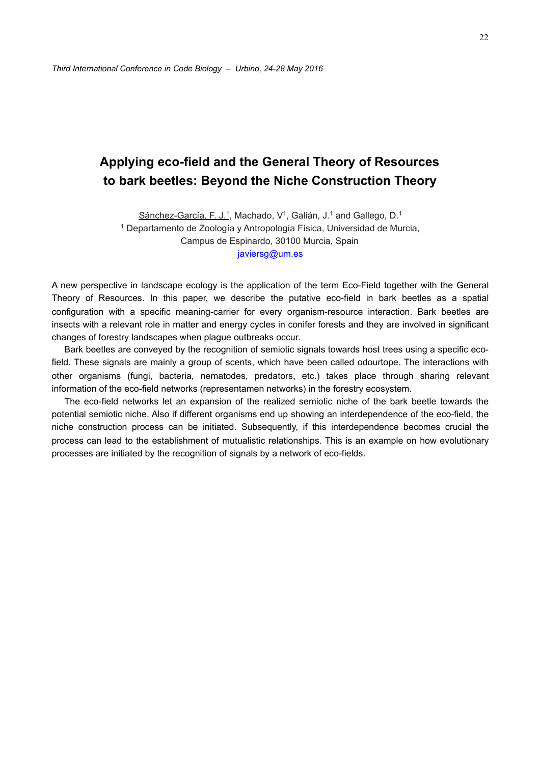# **Applying eco-field and the General Theory of Resources to bark beetles: Beyond the Niche Construction Theory**

Sánchez-García, F. J.<sup>1</sup>, Machado, V<sup>1</sup>, Galián, J.<sup>1</sup> and Gallego, D.<sup>1</sup> 1 Departamento de Zoología y Antropología Física, Universidad de Murcia, Campus de Espinardo, 30100 Murcia, Spain [javiersg@um.es](mailto:javiersg@um.es)

A new perspective in landscape ecology is the application of the term Eco-Field together with the General Theory of Resources. In this paper, we describe the putative eco-field in bark beetles as a spatial configuration with a specific meaning-carrier for every organism-resource interaction. Bark beetles are insects with a relevant role in matter and energy cycles in conifer forests and they are involved in significant changes of forestry landscapes when plague outbreaks occur.

Bark beetles are conveyed by the recognition of semiotic signals towards host trees using a specific ecofield. These signals are mainly a group of scents, which have been called odourtope. The interactions with other organisms (fungi, bacteria, nematodes, predators, etc.) takes place through sharing relevant information of the eco-field networks (representamen networks) in the forestry ecosystem.

The eco-field networks let an expansion of the realized semiotic niche of the bark beetle towards the potential semiotic niche. Also if different organisms end up showing an interdependence of the eco-field, the niche construction process can be initiated. Subsequently, if this interdependence becomes crucial the process can lead to the establishment of mutualistic relationships. This is an example on how evolutionary processes are initiated by the recognition of signals by a network of eco-fields.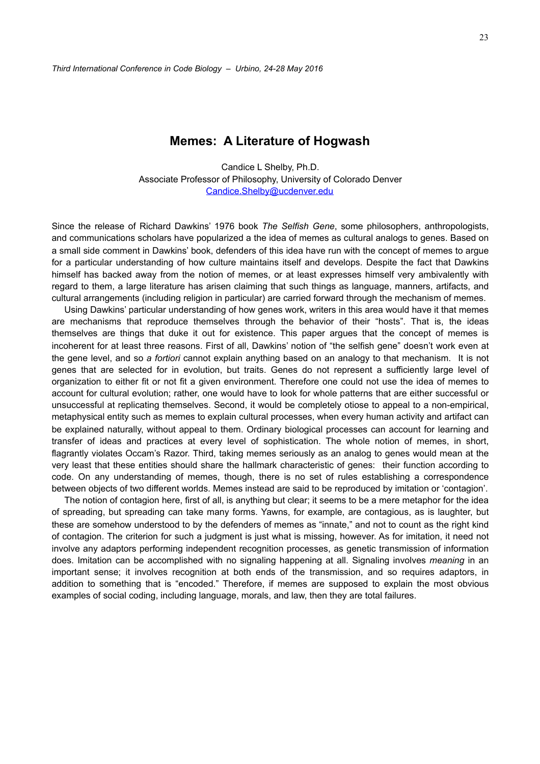### **Memes: A Literature of Hogwash**

Candice L Shelby, Ph.D. Associate Professor of Philosophy, University of Colorado Denver [Candice.Shelby@ucdenver.edu](mailto:Candice.Shelby@ucdenver.edu) 

Since the release of Richard Dawkins' 1976 book *The Selfish Gene*, some philosophers, anthropologists, and communications scholars have popularized a the idea of memes as cultural analogs to genes. Based on a small side comment in Dawkins' book, defenders of this idea have run with the concept of memes to argue for a particular understanding of how culture maintains itself and develops. Despite the fact that Dawkins himself has backed away from the notion of memes, or at least expresses himself very ambivalently with regard to them, a large literature has arisen claiming that such things as language, manners, artifacts, and cultural arrangements (including religion in particular) are carried forward through the mechanism of memes.

Using Dawkins' particular understanding of how genes work, writers in this area would have it that memes are mechanisms that reproduce themselves through the behavior of their "hosts". That is, the ideas themselves are things that duke it out for existence. This paper argues that the concept of memes is incoherent for at least three reasons. First of all, Dawkins' notion of "the selfish gene" doesn't work even at the gene level, and so *a fortiori* cannot explain anything based on an analogy to that mechanism. It is not genes that are selected for in evolution, but traits. Genes do not represent a sufficiently large level of organization to either fit or not fit a given environment. Therefore one could not use the idea of memes to account for cultural evolution; rather, one would have to look for whole patterns that are either successful or unsuccessful at replicating themselves. Second, it would be completely otiose to appeal to a non-empirical, metaphysical entity such as memes to explain cultural processes, when every human activity and artifact can be explained naturally, without appeal to them. Ordinary biological processes can account for learning and transfer of ideas and practices at every level of sophistication. The whole notion of memes, in short, flagrantly violates Occam's Razor. Third, taking memes seriously as an analog to genes would mean at the very least that these entities should share the hallmark characteristic of genes: their function according to code. On any understanding of memes, though, there is no set of rules establishing a correspondence between objects of two different worlds. Memes instead are said to be reproduced by imitation or 'contagion'.

The notion of contagion here, first of all, is anything but clear; it seems to be a mere metaphor for the idea of spreading, but spreading can take many forms. Yawns, for example, are contagious, as is laughter, but these are somehow understood to by the defenders of memes as "innate," and not to count as the right kind of contagion. The criterion for such a judgment is just what is missing, however. As for imitation, it need not involve any adaptors performing independent recognition processes, as genetic transmission of information does. Imitation can be accomplished with no signaling happening at all. Signaling involves *meaning* in an important sense; it involves recognition at both ends of the transmission, and so requires adaptors, in addition to something that is "encoded." Therefore, if memes are supposed to explain the most obvious examples of social coding, including language, morals, and law, then they are total failures.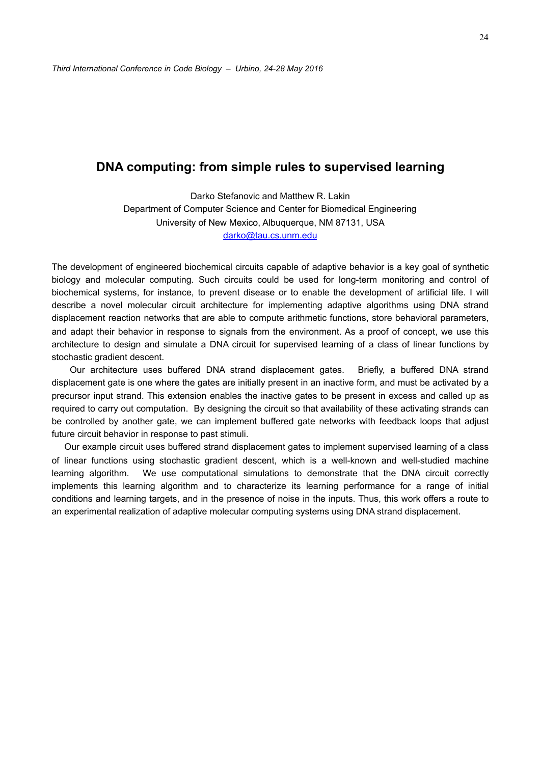### **DNA computing: from simple rules to supervised learning**

Darko Stefanovic and Matthew R. Lakin Department of Computer Science and Center for Biomedical Engineering University of New Mexico, Albuquerque, NM 87131, USA [darko@tau.cs.unm.edu](mailto:darko@tau.cs.unm.edu)

The development of engineered biochemical circuits capable of adaptive behavior is a key goal of synthetic biology and molecular computing. Such circuits could be used for long-term monitoring and control of biochemical systems, for instance, to prevent disease or to enable the development of artificial life. I will describe a novel molecular circuit architecture for implementing adaptive algorithms using DNA strand displacement reaction networks that are able to compute arithmetic functions, store behavioral parameters, and adapt their behavior in response to signals from the environment. As a proof of concept, we use this architecture to design and simulate a DNA circuit for supervised learning of a class of linear functions by stochastic gradient descent.

 Our architecture uses buffered DNA strand displacement gates. Briefly, a buffered DNA strand displacement gate is one where the gates are initially present in an inactive form, and must be activated by a precursor input strand. This extension enables the inactive gates to be present in excess and called up as required to carry out computation. By designing the circuit so that availability of these activating strands can be controlled by another gate, we can implement buffered gate networks with feedback loops that adjust future circuit behavior in response to past stimuli.

Our example circuit uses buffered strand displacement gates to implement supervised learning of a class of linear functions using stochastic gradient descent, which is a well-known and well-studied machine learning algorithm. We use computational simulations to demonstrate that the DNA circuit correctly implements this learning algorithm and to characterize its learning performance for a range of initial conditions and learning targets, and in the presence of noise in the inputs. Thus, this work offers a route to an experimental realization of adaptive molecular computing systems using DNA strand displacement.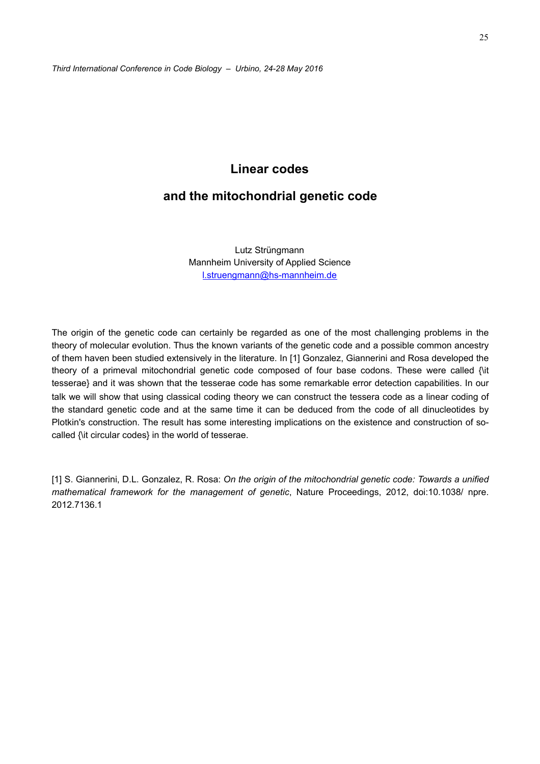## **Linear codes**

### **and the mitochondrial genetic code**

Lutz Strüngmann Mannheim University of Applied Science [l.struengmann@hs-mannheim.de](mailto:l.struengmann@hs-mannheim.de) 

The origin of the genetic code can certainly be regarded as one of the most challenging problems in the theory of molecular evolution. Thus the known variants of the genetic code and a possible common ancestry of them haven been studied extensively in the literature. In [1] Gonzalez, Giannerini and Rosa developed the theory of a primeval mitochondrial genetic code composed of four base codons. These were called {\it tesserae} and it was shown that the tesserae code has some remarkable error detection capabilities. In our talk we will show that using classical coding theory we can construct the tessera code as a linear coding of the standard genetic code and at the same time it can be deduced from the code of all dinucleotides by Plotkin's construction. The result has some interesting implications on the existence and construction of socalled {\it circular codes} in the world of tesserae.

[1] S. Giannerini, D.L. Gonzalez, R. Rosa: *On the origin of the mitochondrial genetic code: Towards a unified mathematical framework for the management of genetic*, Nature Proceedings, 2012, doi:10.1038/ npre. 2012.7136.1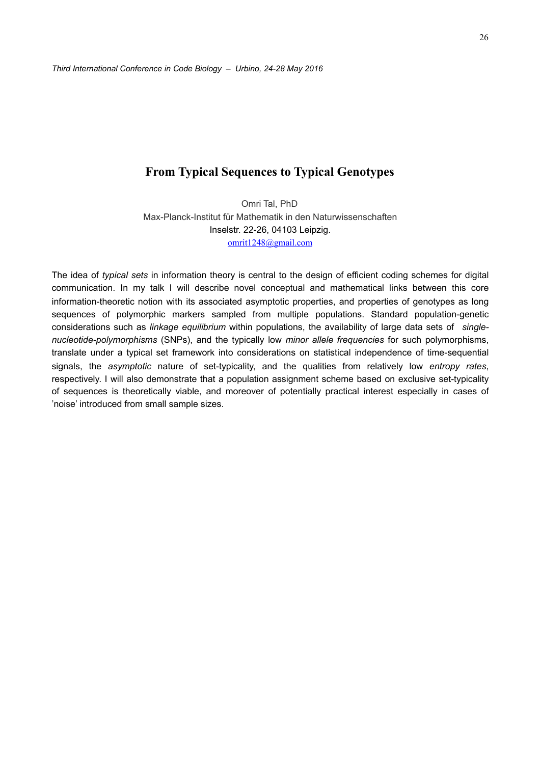### **From Typical Sequences to Typical Genotypes**

Omri Tal, PhD Max-Planck-Institut für Mathematik in den Naturwissenschaften Inselstr. 22-26, 04103 Leipzig. [omrit1248@gmail.com](mailto:omrit1248@gmail.com)

The idea of *typical sets* in information theory is central to the design of efficient coding schemes for digital communication. In my talk I will describe novel conceptual and mathematical links between this core information-theoretic notion with its associated asymptotic properties, and properties of genotypes as long sequences of polymorphic markers sampled from multiple populations. Standard population-genetic considerations such as *linkage equilibrium* within populations, the availability of large data sets of *singlenucleotide-polymorphisms* (SNPs), and the typically low *minor allele frequencies* for such polymorphisms, translate under a typical set framework into considerations on statistical independence of time-sequential signals, the *asymptotic* nature of set-typicality, and the qualities from relatively low *entropy rates*, respectively. I will also demonstrate that a population assignment scheme based on exclusive set-typicality of sequences is theoretically viable, and moreover of potentially practical interest especially in cases of 'noise' introduced from small sample sizes.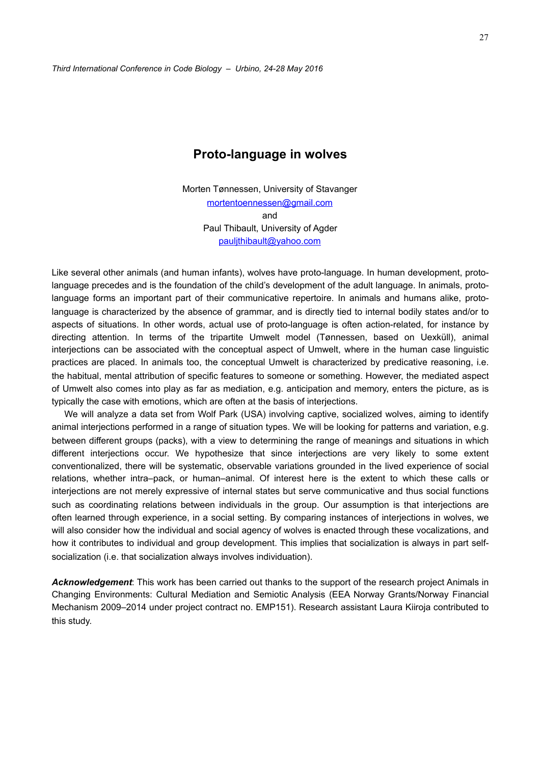## **Proto-language in wolves**

Morten Tønnessen, University of Stavanger [mortentoennessen@gmail.com](mailto:mortentoennessen@gmail.com)  and Paul Thibault, University of Agder [pauljthibault@yahoo.com](mailto:pauljthibault@yahoo.com) 

Like several other animals (and human infants), wolves have proto-language. In human development, protolanguage precedes and is the foundation of the child's development of the adult language. In animals, protolanguage forms an important part of their communicative repertoire. In animals and humans alike, protolanguage is characterized by the absence of grammar, and is directly tied to internal bodily states and/or to aspects of situations. In other words, actual use of proto-language is often action-related, for instance by directing attention. In terms of the tripartite Umwelt model (Tønnessen, based on Uexküll), animal interjections can be associated with the conceptual aspect of Umwelt, where in the human case linguistic practices are placed. In animals too, the conceptual Umwelt is characterized by predicative reasoning, i.e. the habitual, mental attribution of specific features to someone or something. However, the mediated aspect of Umwelt also comes into play as far as mediation, e.g. anticipation and memory, enters the picture, as is typically the case with emotions, which are often at the basis of interjections.

We will analyze a data set from Wolf Park (USA) involving captive, socialized wolves, aiming to identify animal interjections performed in a range of situation types. We will be looking for patterns and variation, e.g. between different groups (packs), with a view to determining the range of meanings and situations in which different interjections occur. We hypothesize that since interjections are very likely to some extent conventionalized, there will be systematic, observable variations grounded in the lived experience of social relations, whether intra–pack, or human–animal. Of interest here is the extent to which these calls or interjections are not merely expressive of internal states but serve communicative and thus social functions such as coordinating relations between individuals in the group. Our assumption is that interjections are often learned through experience, in a social setting. By comparing instances of interjections in wolves, we will also consider how the individual and social agency of wolves is enacted through these vocalizations, and how it contributes to individual and group development. This implies that socialization is always in part selfsocialization (i.e. that socialization always involves individuation).

*Acknowledgement*: This work has been carried out thanks to the support of the research project Animals in Changing Environments: Cultural Mediation and Semiotic Analysis (EEA Norway Grants/Norway Financial Mechanism 2009–2014 under project contract no. EMP151). Research assistant Laura Kiiroja contributed to this study.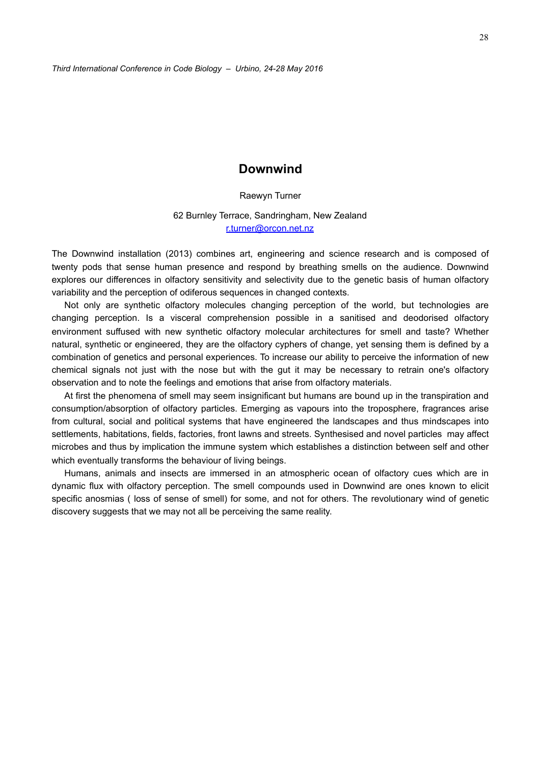### **Downwind**

Raewyn Turner

62 Burnley Terrace, Sandringham, New Zealand [r.turner@orcon.net.nz](mailto:r.turner@orcon.net.nz)

The Downwind installation (2013) combines art, engineering and science research and is composed of twenty pods that sense human presence and respond by breathing smells on the audience. Downwind explores our differences in olfactory sensitivity and selectivity due to the genetic basis of human olfactory variability and the perception of odiferous sequences in changed contexts.

Not only are synthetic olfactory molecules changing perception of the world, but technologies are changing perception. Is a visceral comprehension possible in a sanitised and deodorised olfactory environment suffused with new synthetic olfactory molecular architectures for smell and taste? Whether natural, synthetic or engineered, they are the olfactory cyphers of change, yet sensing them is defined by a combination of genetics and personal experiences. To increase our ability to perceive the information of new chemical signals not just with the nose but with the gut it may be necessary to retrain one's olfactory observation and to note the feelings and emotions that arise from olfactory materials.

At first the phenomena of smell may seem insignificant but humans are bound up in the transpiration and consumption/absorption of olfactory particles. Emerging as vapours into the troposphere, fragrances arise from cultural, social and political systems that have engineered the landscapes and thus mindscapes into settlements, habitations, fields, factories, front lawns and streets. Synthesised and novel particles may affect microbes and thus by implication the immune system which establishes a distinction between self and other which eventually transforms the behaviour of living beings.

Humans, animals and insects are immersed in an atmospheric ocean of olfactory cues which are in dynamic flux with olfactory perception. The smell compounds used in Downwind are ones known to elicit specific anosmias ( loss of sense of smell) for some, and not for others. The revolutionary wind of genetic discovery suggests that we may not all be perceiving the same reality.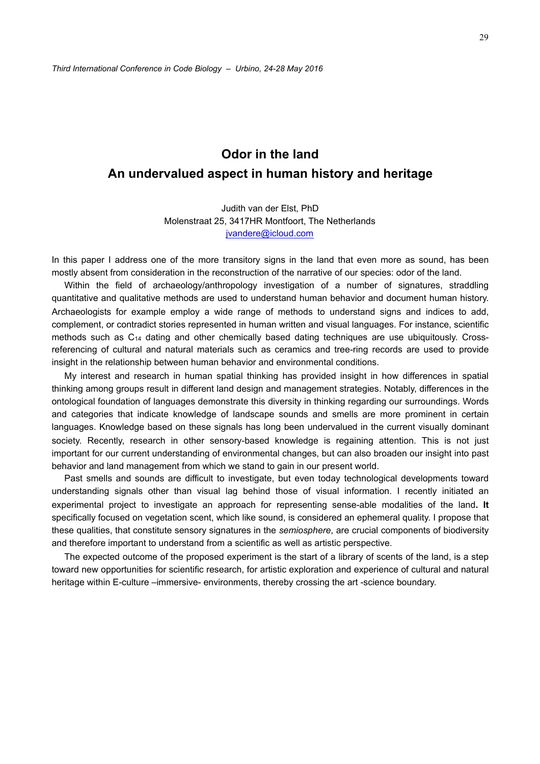# **Odor in the land An undervalued aspect in human history and heritage**

Judith van der Elst, PhD Molenstraat 25, 3417HR Montfoort, The Netherlands [jvandere@icloud.com](mailto:jvandere@icloud.com)

In this paper I address one of the more transitory signs in the land that even more as sound, has been mostly absent from consideration in the reconstruction of the narrative of our species: odor of the land.

Within the field of archaeology/anthropology investigation of a number of signatures, straddling quantitative and qualitative methods are used to understand human behavior and document human history. Archaeologists for example employ a wide range of methods to understand signs and indices to add, complement, or contradict stories represented in human written and visual languages. For instance, scientific methods such as C14 dating and other chemically based dating techniques are use ubiquitously. Crossreferencing of cultural and natural materials such as ceramics and tree-ring records are used to provide insight in the relationship between human behavior and environmental conditions.

My interest and research in human spatial thinking has provided insight in how differences in spatial thinking among groups result in different land design and management strategies. Notably, differences in the ontological foundation of languages demonstrate this diversity in thinking regarding our surroundings. Words and categories that indicate knowledge of landscape sounds and smells are more prominent in certain languages. Knowledge based on these signals has long been undervalued in the current visually dominant society. Recently, research in other sensory-based knowledge is regaining attention. This is not just important for our current understanding of environmental changes, but can also broaden our insight into past behavior and land management from which we stand to gain in our present world.

Past smells and sounds are difficult to investigate, but even today technological developments toward understanding signals other than visual lag behind those of visual information. I recently initiated an experimental project to investigate an approach for representing sense-able modalities of the land**. It** specifically focused on vegetation scent, which like sound, is considered an ephemeral quality. I propose that these qualities, that constitute sensory signatures in the *semiosphere*, are crucial components of biodiversity and therefore important to understand from a scientific as well as artistic perspective.

The expected outcome of the proposed experiment is the start of a library of scents of the land, is a step toward new opportunities for scientific research, for artistic exploration and experience of cultural and natural heritage within E-culture –immersive- environments, thereby crossing the art -science boundary.